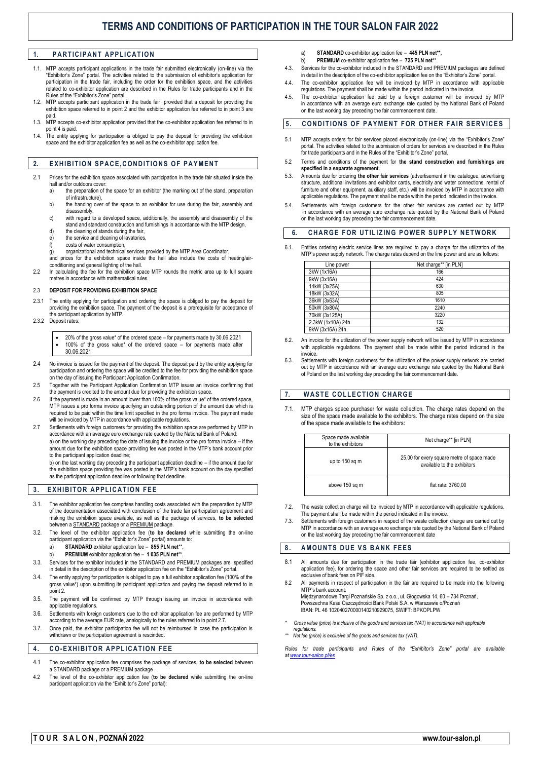# **TERMS AND CONDITIONS OF PARTICIPATION IN THE TOUR SALON FAIR 2022**

## 1. **PARTICIPANT APPLICATION**

- 1.1. MTP accepts participant applications in the trade fair submitted electronically (on-line) via the "Exhibitor's Zone" portal. The activities related to the submission of exhibitor's application for participation in the trade fair, including the order for the exhibition space, and the activities related to co-exhibitor application are described in the Rules for trade participants and in the Rules of the "Exhibitor's Zone" portal
- 1.2. MTP accepts participant application in the trade fair provided that a deposit for providing the exhibition space referred to in point 2 and the exhibitor application fee referred to in point 3 are paid.
- 1.3. MTP accepts co-exhibitor application provided that the co-exhibitor application fee referred to in point 4 is paid.
- 1.4. The entity applying for participation is obliged to pay the deposit for providing the exhibition space and the exhibitor application fee as well as the co-exhibitor application fee.

### **2. EXHIBITION SPACE, CONDITIONS OF PAYMENT**

- 2.1 Prices for the exhibition space associated with participation in the trade fair situated inside the hall and/or outdoors cover:
	- a) the preparation of the space for an exhibitor (the marking out of the stand, preparation of infrastructure),
	- b) the handing over of the space to an exhibitor for use during the fair, assembly and disassembly,
	- c) with regard to a developed space, additionally, the assembly and disassembly of the stand and standard construction and furnishings in accordance with the MTP design, d) the cleaning of stands during the fair,
	- e) the service and cleaning of lavatories,
	- costs of water consumption,
	- $\alpha$ ) organizational and technical services provided by the MTP Area Coordinator,

and prices for the exhibition space inside the hall also include the costs of heating/airconditioning and general lighting of the hall.

2.2 In calculating the fee for the exhibition space MTP rounds the metric area up to full square etres in accordance with mathematical rules.

#### 2.3 **DEPOSIT FOR PROVIDING EXHIBITION SPACE**

- 2.3.1 The entity applying for participation and ordering the space is obliged to pay the deposit for providing the exhibition space. The payment of the deposit is a prerequisite for acceptance of the participant application by MTP.
- 2.3.2 Deposit rates:
	- 20% of the gross value\* of the ordered space for payments made by 30.06.2021 100% of the gross value\* of the ordered space – for payments made after 30.06.2021
- 2.4 No invoice is issued for the payment of the deposit. The deposit paid by the entity applying for participation and ordering the space will be credited to the fee for providing the exhibition space on the day of issuing the Participant Application Confirmation.
- 2.5 Together with the Participant Application Confirmation MTP issues an invoice confirming that the payment is credited to the amount due for providing the exhibition space.
- 2.6 If the payment is made in an amount lower than 100% of the gross value\* of the ordered space, MTP issues a pro forma invoice specifying an outstanding portion of the amount due which is required to be paid within the time limit specified in the pro forma invoice. The payment made will be invoiced by MTP in accordance with applicable regulations.
- 2.7 Settlements with foreign customers for providing the exhibition space are performed by MTP in accordance with an average euro exchange rate quoted by the National Bank of Poland: a) on the working day preceding the date of issuing the invoice or the pro forma invoice – if the amount due for the exhibition space providing fee was posted in the MTP's bank account prior to the participant application deadline;

b) on the last working day preceding the participant application deadline – if the amount due for the exhibition space providing fee was posted in the MTP's bank account on the day specified as the participant application deadline or following that deadline.

## **3. EXHIBITOR APPLICATION FEE**

- The exhibitor application fee comprises handling costs associated with the preparation by MTP of the documentation associated with conclusion of the trade fair participation agreement and making the exhibition space available, as well as the package of services, **to be selected** between a **STANDARD** package or a **PREMIUM** package.
- 3.2. The level of the exhibitor application fee (**to be declared** while submitting the on-line participant application via the "Exhibitor's Zone" portal) amounts to:
	- **STANDARD** exhibitor application fee 855 PLN net\*\*
	- b) **PREMIUM** exhibitor application fee **1 035 PLN net**\*\*.
- 3.3. Services for the exhibitor included in the STANDARD and PREMIUM packages are specified in detail in the description of the exhibitor application fee on the "Exhibitor's Zone" portal.
- 3.4. The entity applying for participation is obliged to pay a full exhibitor application fee (100% of the gross value\*) upon submitting its participant application and paying the deposit referred to in  $point 2$
- 3.5. The payment will be confirmed by MTP through issuing an invoice in accordance with applicable regulations.
- 3.6. Settlements with foreign customers due to the exhibitor application fee are performed by MTP according to the average EUR rate, analogically to the rules referred to in point 2.7.
- 3.7. Once paid, the exhibitor participation fee will not be reimbursed in case the participation is withdrawn or the participation agreement is rescinded

#### **4 . C O-E X H I B I T O R A P P L I C A T I O N F E E**

- 4.1 The co-exhibitor application fee comprises the package of services, **to be selected** between a STANDARD package or a PREMIUM package
- 4.2 The level of the co-exhibitor application fee (**to be declared** while submitting the on-line participant application via the "Exhibitor's Zone" portal):
- a) **STANDARD** co-exhibitor application fee **445 PLN net\*\*,**
- b) **PREMIUM** co-exhibitor application fee **725 PLN net**\*\*.
- 4.3. Services for the co-exhibitor included in the STANDARD and PREMIUM packages are defined in detail in the description of the co-exhibitor application fee on the "Exhibitor's Zone" portal.
- 4.4. The co-exhibitor application fee will be invoiced by MTP in accordance with applicable regulations. The payment shall be made within the period indicated in the invoice.
- 4.5. The co-exhibitor application fee paid by a foreign customer will be invoiced by MTP in accordance with an average euro exchange rate quoted by the National Bank of Poland on the last working day preceding the fair commencement date.

## **5. CONDITIONS OF PAYMENT FOR OTHER FAIR SERVICES**

- MTP accepts orders for fair services placed electronically (on-line) via the "Exhibitor's Zone" portal. The activities related to the submission of orders for services are described in the Rules for trade participants and in the Rules of the "Exhibitor's Zone" portal.
- 5.2 Terms and conditions of the payment for **the stand construction and furnishings are specified in a separate agreement**.
- 5.3. Amounts due for ordering **the other fair services** (advertisement in the catalogue, advertising structure, additional invitations and exhibitor cards, electricity and water connections, rental of furniture and other equipment, auxiliary staff, etc.) will be invoiced by MTP in accordance with applicable regulations. The payment shall be made within the period indicated in the invoice.
- 5.4. Settlements with foreign customers for the other fair services are carried out by MTP in accordance with an average euro exchange rate quoted by the National Bank of Poland on the last working day preceding the fair commencement date.

#### **6. CHARGE FOR UTILIZING POWER SUPPLY NETWORK**

6.1. Entities ordering electric service lines are required to pay a charge for the utilization of the MTP's power supply network. The charge rates depend on the line power and are as follows:

| Line power        | Net charge** [in PLN] |  |
|-------------------|-----------------------|--|
| 3kW (1x16A)       | 166                   |  |
| 9kW (3x16A)       | 424                   |  |
| 14kW (3x25A)      | 630                   |  |
| 18kW (3x32A)      | 805                   |  |
| 36kW (3x63A)      | 1610                  |  |
| 50kW (3x80A)      | 2240                  |  |
| 70kW (3x125A)     | 3220                  |  |
| 2.3kW (1x10A) 24h | 132                   |  |
| 9kW (3x16A) 24h   | 520                   |  |

- 6.2. An invoice for the utilization of the power supply network will be issued by MTP in accordance with applicable regulations. The payment shall be made within the period indicated in the invoice
- 6.3. Settlements with foreign customers for the utilization of the power supply network are carried out by MTP in accordance with an average euro exchange rate quoted by the National Bank of Poland on the last working day preceding the fair commencement date.

## **7. W A S T E C O L L E C T I O N C H AR GE**

7.1. MTP charges space purchaser for waste collection. The charge rates depend on the size of the space made available to the exhibitors. The charge rates depend on the size of the space made available to the exhibitors:

| Space made available<br>to the exhibitors | Net charge** [in PLN]                                                     |
|-------------------------------------------|---------------------------------------------------------------------------|
| up to 150 sq m                            | 25,00 for every square metre of space made<br>available to the exhibitors |
| above 150 sq m                            | flat rate: 3760.00                                                        |

- 7.2. The waste collection charge will be invoiced by MTP in accordance with applicable regulations. The payment shall be made within the period indicated in the invoice.
- 7.3. Settlements with foreign customers in respect of the waste collection charge are carried out by MTP in accordance with an average euro exchange rate quoted by the National Bank of Poland on the last working day preceding the fair commencement date

#### 8. AMOUNTS DUE VS BANK FEES

- 8.1 All amounts due for participation in the trade fair (exhibitor application fee, co-exhibitor application fee), for ordering the space and other fair services are required to be settled as exclusive of bank fees on PIF side.
- 8.2 All payments in respect of participation in the fair are required to be made into the following MTP's bank account Międzynarodowe Targi Poznańskie Sp. z o.o., ul. Głogowska 14, 60 – 734 Poznań, Powszechna Kasa Oszczędności Bank Polski S.A. w Warszawie o/Poznań IBAN: PL 46 102040270000140210929075, SWIFT: BPKOPLPW
- *\* Gross value (price) is inclusive of the goods and services tax (VAT) in accordance with applicable regulations.*
- *\*\* Net fee (price) is exclusive of the goods and services tax (VAT).*

*Rules for trade participants and Rules of the "Exhibitor's Zone" portal are available a[t www.tour-salon.pl/en](http://www.tour-salon.pl/en)*